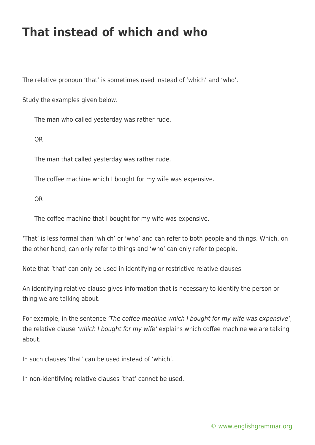## **That instead of which and who**

The relative pronoun 'that' is sometimes used instead of 'which' and 'who'.

Study the examples given below.

The man who called yesterday was rather rude.

OR

The man that called yesterday was rather rude.

The coffee machine which I bought for my wife was expensive.

OR

The coffee machine that I bought for my wife was expensive.

'That' is less formal than 'which' or 'who' and can refer to both people and things. Which, on the other hand, can only refer to things and 'who' can only refer to people.

Note that 'that' can only be used in identifying or restrictive relative clauses.

An identifying relative clause gives information that is necessary to identify the person or thing we are talking about.

For example, in the sentence 'The coffee machine which I bought for my wife was expensive', the relative clause 'which I bought for my wife' explains which coffee machine we are talking about.

In such clauses 'that' can be used instead of 'which'.

In non-identifying relative clauses 'that' cannot be used.